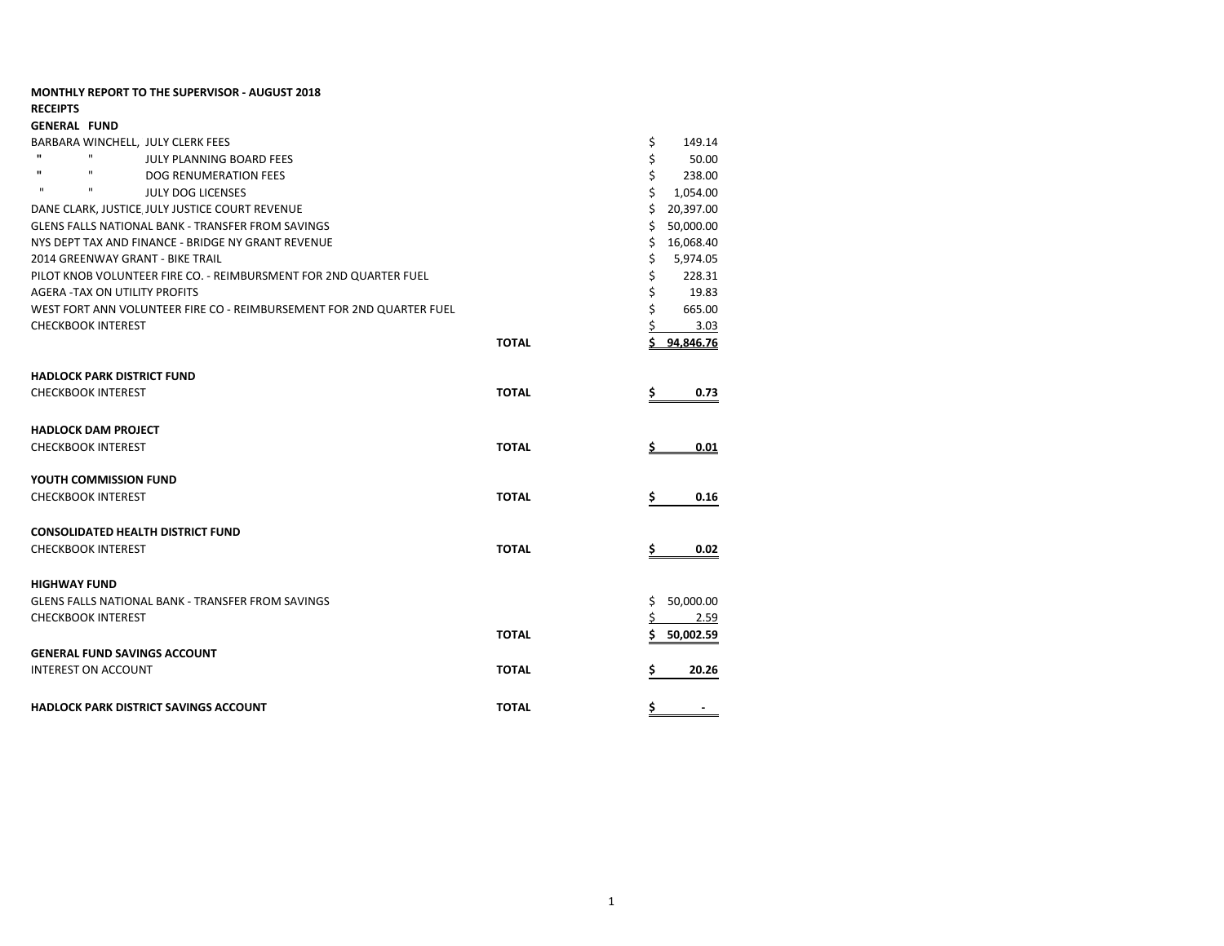| <b>RECEIPTS</b>                   |                                      |                                                                      |              |     |           |  |  |  |
|-----------------------------------|--------------------------------------|----------------------------------------------------------------------|--------------|-----|-----------|--|--|--|
|                                   | <b>GENERAL FUND</b>                  |                                                                      |              |     |           |  |  |  |
| BARBARA WINCHELL, JULY CLERK FEES |                                      |                                                                      |              |     |           |  |  |  |
| $\mathbf{u}$                      | $\mathbf{u}$                         | <b>JULY PLANNING BOARD FEES</b>                                      |              | \$  | 50.00     |  |  |  |
| ш                                 | п                                    | DOG RENUMERATION FEES                                                |              | \$  | 238.00    |  |  |  |
| $\mathbf{u}$                      | п                                    | <b>JULY DOG LICENSES</b>                                             |              | \$  | 1,054.00  |  |  |  |
|                                   |                                      | DANE CLARK, JUSTICE, JULY JUSTICE COURT REVENUE                      |              | \$. | 20,397.00 |  |  |  |
|                                   |                                      | <b>GLENS FALLS NATIONAL BANK - TRANSFER FROM SAVINGS</b>             |              | Ś.  | 50,000.00 |  |  |  |
|                                   |                                      | NYS DEPT TAX AND FINANCE - BRIDGE NY GRANT REVENUE                   |              | \$  | 16,068.40 |  |  |  |
|                                   |                                      | 2014 GREENWAY GRANT - BIKE TRAIL                                     |              | \$  | 5,974.05  |  |  |  |
|                                   |                                      | PILOT KNOB VOLUNTEER FIRE CO. - REIMBURSMENT FOR 2ND QUARTER FUEL    |              | \$  | 228.31    |  |  |  |
|                                   | <b>AGERA -TAX ON UTILITY PROFITS</b> |                                                                      |              | \$  | 19.83     |  |  |  |
|                                   |                                      | WEST FORT ANN VOLUNTEER FIRE CO - REIMBURSEMENT FOR 2ND QUARTER FUEL |              | \$  | 665.00    |  |  |  |
|                                   | <b>CHECKBOOK INTEREST</b>            |                                                                      |              |     | 3.03      |  |  |  |
|                                   |                                      |                                                                      | <b>TOTAL</b> |     | 94.846.76 |  |  |  |
|                                   | <b>HADLOCK PARK DISTRICT FUND</b>    |                                                                      |              |     |           |  |  |  |
|                                   | <b>CHECKBOOK INTEREST</b>            |                                                                      | <b>TOTAL</b> | \$  | 0.73      |  |  |  |
|                                   | <b>HADLOCK DAM PROJECT</b>           |                                                                      |              |     |           |  |  |  |
|                                   | <b>CHECKBOOK INTEREST</b>            |                                                                      | <b>TOTAL</b> |     | 0.01      |  |  |  |
|                                   | YOUTH COMMISSION FUND                |                                                                      |              |     |           |  |  |  |
|                                   | <b>CHECKBOOK INTEREST</b>            |                                                                      | <b>TOTAL</b> | \$. | 0.16      |  |  |  |
|                                   |                                      | <b>CONSOLIDATED HEALTH DISTRICT FUND</b>                             |              |     |           |  |  |  |
|                                   | <b>CHECKBOOK INTEREST</b>            |                                                                      | <b>TOTAL</b> | \$  | 0.02      |  |  |  |
|                                   | <b>HIGHWAY FUND</b>                  |                                                                      |              |     |           |  |  |  |
|                                   |                                      | <b>GLENS FALLS NATIONAL BANK - TRANSFER FROM SAVINGS</b>             |              | Ś.  | 50,000.00 |  |  |  |
|                                   | <b>CHECKBOOK INTEREST</b>            |                                                                      |              | \$. | 2.59      |  |  |  |
|                                   |                                      |                                                                      | <b>TOTAL</b> | Ś   | 50,002.59 |  |  |  |
|                                   |                                      | <b>GENERAL FUND SAVINGS ACCOUNT</b>                                  |              |     |           |  |  |  |
|                                   | <b>INTEREST ON ACCOUNT</b>           |                                                                      | <b>TOTAL</b> | \$  | 20.26     |  |  |  |
|                                   |                                      |                                                                      |              |     |           |  |  |  |
|                                   |                                      | <b>HADLOCK PARK DISTRICT SAVINGS ACCOUNT</b>                         | <b>TOTAL</b> | \$  |           |  |  |  |

**MONTHLY REPORT TO THE SUPERVISOR - AUGUST 2018**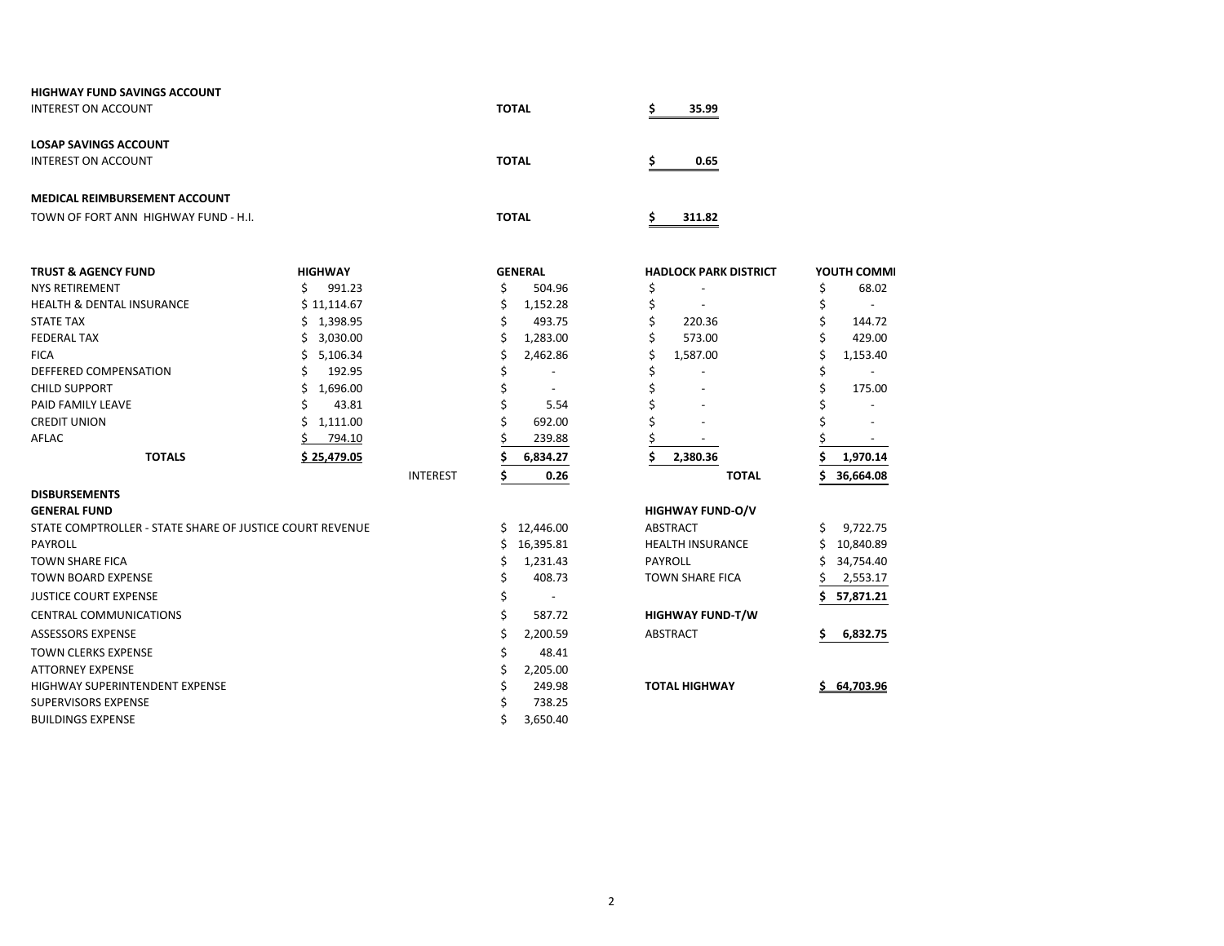| <b>HIGHWAY FUND SAVINGS ACCOUNT</b>  |              |        |
|--------------------------------------|--------------|--------|
| INTEREST ON ACCOUNT                  | <b>TOTAL</b> | 35.99  |
|                                      |              |        |
| <b>LOSAP SAVINGS ACCOUNT</b>         |              |        |
| INTEREST ON ACCOUNT                  | <b>TOTAL</b> | 0.65   |
|                                      |              |        |
| <b>MEDICAL REIMBURSEMENT ACCOUNT</b> |              |        |
| TOWN OF FORT ANN HIGHWAY FUND - H.I. | <b>TOTAL</b> | 311.82 |

| <b>TRUST &amp; AGENCY FUND</b>                           | <b>HIGHWAY</b> |                 |    | <b>GENERAL</b> | <b>HADLOCK PARK DISTRICT</b> | YOUTH COMMI |
|----------------------------------------------------------|----------------|-----------------|----|----------------|------------------------------|-------------|
| <b>NYS RETIREMENT</b>                                    | 991.23         |                 |    | 504.96         |                              | 68.02       |
| <b>HEALTH &amp; DENTAL INSURANCE</b>                     | \$11,114.67    |                 |    | 1,152.28       |                              |             |
| <b>STATE TAX</b>                                         | 1,398.95       |                 |    | 493.75         | 220.36                       | 144.72      |
| <b>FEDERAL TAX</b>                                       | 3,030.00       |                 |    | 1,283.00       | 573.00                       | 429.00      |
| <b>FICA</b>                                              | 5,106.34       |                 |    | 2,462.86       | 1,587.00                     | 1,153.40    |
| DEFFERED COMPENSATION                                    | 192.95         |                 |    |                |                              |             |
| <b>CHILD SUPPORT</b>                                     | 1,696.00       |                 |    |                |                              | 175.00      |
| PAID FAMILY LEAVE                                        | 43.81          |                 |    | 5.54           |                              |             |
| <b>CREDIT UNION</b>                                      | 1,111.00       |                 |    | 692.00         |                              |             |
| AFLAC                                                    | 794.10         |                 |    | 239.88         |                              |             |
| <b>TOTALS</b>                                            | \$25,479.05    |                 |    | 6,834.27       | 2,380.36                     | 1,970.14    |
|                                                          |                | <b>INTEREST</b> |    | 0.26           | <b>TOTAL</b>                 | 36,664.08   |
| <b>DISBURSEMENTS</b>                                     |                |                 |    |                |                              |             |
| <b>GENERAL FUND</b>                                      |                |                 |    |                | <b>HIGHWAY FUND-O/V</b>      |             |
| STATE COMPTROLLER - STATE SHARE OF JUSTICE COURT REVENUE |                |                 | Ś. | 12,446.00      | ABSTRACT                     | 9,722.75    |
| PAYROLL                                                  |                |                 |    | 16,395.81      | <b>HEALTH INSURANCE</b>      | 10,840.89   |
| <b>TOWN SHARE FICA</b>                                   |                |                 |    | 1,231.43       | <b>PAYROLL</b>               | 34,754.40   |
| <b>TOWN BOARD EXPENSE</b>                                |                |                 |    | 408.73         | <b>TOWN SHARE FICA</b>       | 2,553.17    |
| <b>JUSTICE COURT EXPENSE</b>                             |                |                 |    |                |                              | 57,871.21   |
| <b>CENTRAL COMMUNICATIONS</b>                            |                |                 |    | 587.72         | <b>HIGHWAY FUND-T/W</b>      |             |
| <b>ASSESSORS EXPENSE</b>                                 |                |                 | Ś  | 2,200.59       | ABSTRACT                     | 6,832.75    |
| <b>TOWN CLERKS EXPENSE</b>                               |                |                 |    | 48.41          |                              |             |
| <b>ATTORNEY EXPENSE</b>                                  |                |                 |    | 2,205.00       |                              |             |
| <b>HIGHWAY SUPERINTENDENT EXPENSE</b>                    |                |                 |    | 249.98         | <b>TOTAL HIGHWAY</b>         | \$64.703.96 |
| <b>SUPERVISORS EXPENSE</b>                               |                |                 |    | 738.25         |                              |             |
| <b>BUILDINGS EXPENSE</b>                                 |                |                 |    | 3,650.40       |                              |             |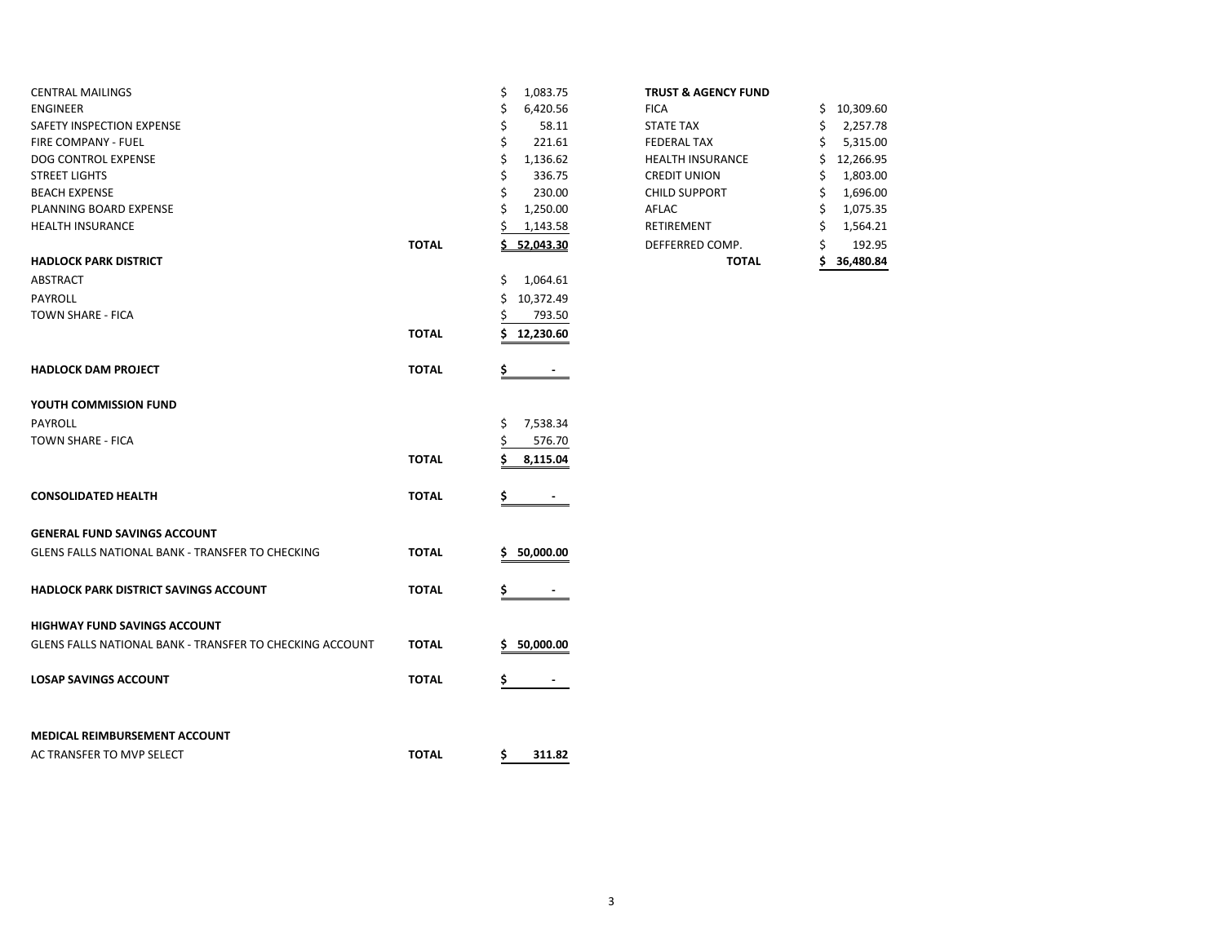| <b>CENTRAL MAILINGS</b>                                  |              | \$<br>1,083.75        | <b>TRUST &amp; AGENCY FUND</b> |                 |
|----------------------------------------------------------|--------------|-----------------------|--------------------------------|-----------------|
| <b>ENGINEER</b>                                          |              | \$<br>6,420.56        | <b>FICA</b>                    | 10,309.60<br>\$ |
| SAFETY INSPECTION EXPENSE                                |              | \$<br>58.11           | <b>STATE TAX</b>               | 2,257.78<br>\$  |
| FIRE COMPANY - FUEL                                      |              | \$<br>221.61          | <b>FEDERAL TAX</b>             | 5,315.00<br>S   |
| DOG CONTROL EXPENSE                                      |              | \$<br>1,136.62        | <b>HEALTH INSURANCE</b>        | 12,266.95<br>\$ |
| <b>STREET LIGHTS</b>                                     |              | \$<br>336.75          | <b>CREDIT UNION</b>            | 1,803.00<br>S   |
| <b>BEACH EXPENSE</b>                                     |              | Ś<br>230.00           | <b>CHILD SUPPORT</b>           | 1,696.00<br>\$  |
| PLANNING BOARD EXPENSE                                   |              | Ś<br>1,250.00         | AFLAC                          | 1,075.35<br>Ś   |
| <b>HEALTH INSURANCE</b>                                  |              | \$<br>1,143.58        | <b>RETIREMENT</b>              | 1,564.21<br>Ś   |
|                                                          | <b>TOTAL</b> | \$<br>52,043.30       | DEFFERRED COMP.                | 192.95          |
| <b>HADLOCK PARK DISTRICT</b>                             |              |                       | <b>TOTAL</b>                   | 36,480.84<br>Ś  |
| ABSTRACT                                                 |              | \$<br>1,064.61        |                                |                 |
| PAYROLL                                                  |              | 10,372.49<br>\$       |                                |                 |
| TOWN SHARE - FICA                                        |              | 793.50                |                                |                 |
|                                                          | <b>TOTAL</b> | 12,230.60<br>S.       |                                |                 |
|                                                          |              |                       |                                |                 |
| <b>HADLOCK DAM PROJECT</b>                               | <b>TOTAL</b> | \$<br>$\blacksquare$  |                                |                 |
| YOUTH COMMISSION FUND                                    |              |                       |                                |                 |
| <b>PAYROLL</b>                                           |              | 7,538.34<br>\$        |                                |                 |
| TOWN SHARE - FICA                                        |              | \$<br>576.70          |                                |                 |
|                                                          | <b>TOTAL</b> | Ś                     |                                |                 |
|                                                          |              | 8,115.04              |                                |                 |
| <b>CONSOLIDATED HEALTH</b>                               | <b>TOTAL</b> | \$.<br>$\blacksquare$ |                                |                 |
| <b>GENERAL FUND SAVINGS ACCOUNT</b>                      |              |                       |                                |                 |
| GLENS FALLS NATIONAL BANK - TRANSFER TO CHECKING         | <b>TOTAL</b> | 50,000.00<br>\$.      |                                |                 |
|                                                          |              |                       |                                |                 |
| <b>HADLOCK PARK DISTRICT SAVINGS ACCOUNT</b>             | <b>TOTAL</b> |                       |                                |                 |
|                                                          |              |                       |                                |                 |
| <b>HIGHWAY FUND SAVINGS ACCOUNT</b>                      |              |                       |                                |                 |
| GLENS FALLS NATIONAL BANK - TRANSFER TO CHECKING ACCOUNT | <b>TOTAL</b> | 50,000.00<br>s        |                                |                 |
| <b>LOSAP SAVINGS ACCOUNT</b>                             | <b>TOTAL</b> | \$                    |                                |                 |
|                                                          |              |                       |                                |                 |
| MEDICAL REIMBURSEMENT ACCOUNT                            |              |                       |                                |                 |
| AC TRANSFER TO MVP SELECT                                | <b>TOTAL</b> | \$.<br>311.82         |                                |                 |
|                                                          |              |                       |                                |                 |

## **TRUST & AGENCY FUND**

|       |                | <b>TOTAL</b>            | 36,480.84       |
|-------|----------------|-------------------------|-----------------|
| TOTAL | 52,043.30      | DEFFERRED COMP.         | \$<br>192.95    |
|       | 1,143.58       | <b>RETIREMENT</b>       | \$<br>1,564.21  |
|       | \$<br>1,250.00 | AFLAC                   | \$<br>1,075.35  |
|       | \$<br>230.00   | <b>CHILD SUPPORT</b>    | \$<br>1,696.00  |
|       | \$<br>336.75   | <b>CREDIT UNION</b>     | \$<br>1,803.00  |
|       | \$<br>1,136.62 | <b>HEALTH INSURANCE</b> | \$<br>12,266.95 |
|       | \$<br>221.61   | <b>FEDERAL TAX</b>      | \$<br>5,315.00  |
|       | \$<br>58.11    | <b>STATE TAX</b>        | \$<br>2,257.78  |
|       | \$<br>6,420.56 | <b>FICA</b>             | \$<br>10,309.60 |